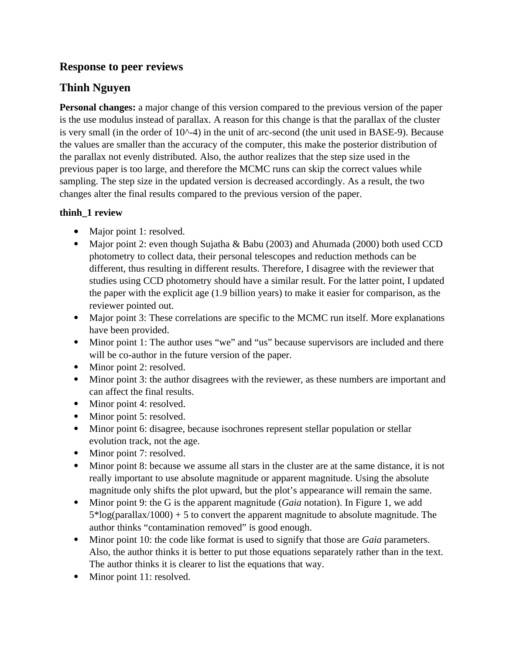# **Response to peer reviews**

# **Thinh Nguyen**

**Personal changes:** a major change of this version compared to the previous version of the paper is the use modulus instead of parallax. A reason for this change is that the parallax of the cluster is very small (in the order of  $10^{\wedge}$ -4) in the unit of arc-second (the unit used in BASE-9). Because the values are smaller than the accuracy of the computer, this make the posterior distribution of the parallax not evenly distributed. Also, the author realizes that the step size used in the previous paper is too large, and therefore the MCMC runs can skip the correct values while sampling. The step size in the updated version is decreased accordingly. As a result, the two changes alter the final results compared to the previous version of the paper. changes alter the final results compared to the previous version of the paper.

## **thinh\_1 review**

- Major point 1: resolved.
- Major point 2: even thou photometry to collect data, their personal telescopes and reduction methods can be different, thus resulting in different results. Therefore, I disagree with the reviewer that studies using CCD photometry should have a similar result. For the latter point, I updated the paper with the explicit age (1.9 billion years) to make it easier for comparison, as the reviewer pointed out.
- Major point 3: These have been provided.
- Minor point 1: The  $\alpha$ will be co-author in the future version of the paper.
- Will be co-author in the future version of the paper.<br>Minor point 2: resolved.
- $\bullet$  Minor point 3: the author can affect the final results.
- Minor point 4: resolved.
- Minor point 5: resolved.
- $\bullet$  Minor point 6: disagree, evolution track, not the age.
- Minor point 7: resolved.
- Minor point 8: because really important to use absolute magnitude or apparent magnitude. Using the absolute magnitude only shifts the plot upward, but the plot's appearance will remain the same.
- magnitude only shifts the protop will give up plot up plot up plotted with contain the same.<br>Minor point 9: the G is the apparent magnitude (*Gaia* notation). In Figure 1, we add 5\*log(parallax/1000) + 5 to convert the apparent magnitude to absolute magnitude. The author thinks "contamination removed" is good enough.
- Minor point 10: the code like format is used to signify that those are *Gaia* parameters.  $\bullet$ Also, the author thinks it is better to put those equations separately rather than in the text. The author thinks it is clearer to list the equations that way.
- $\bullet$  Minor point 11: resolved.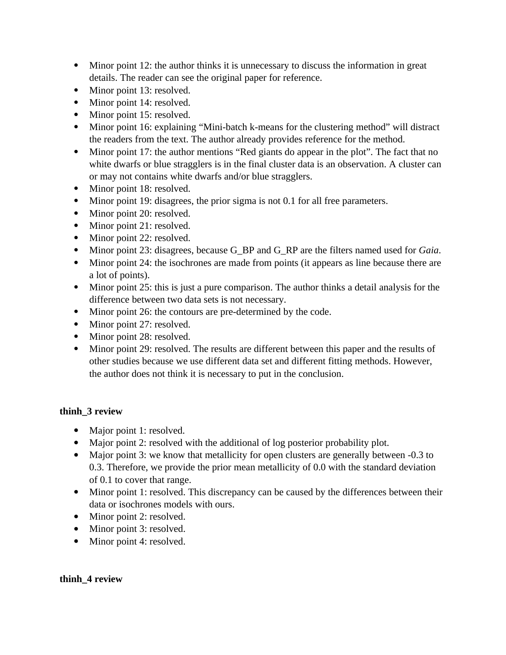- Minor point 12: the author thinks it is unnecessary to discuss the information in great details. The reader can see the original paper for reference.
- details. The reader can see the original paper for reference.<br>Minor point 13: resolved.
- Minor point 14: resolved.
- $\bullet$  Minor point 15: resolved.
- Minor point 16: explaining the readers from the text. The author already provides reference for the method.
- Minor point 17: the author mentions "Red giants do appear in the plot". The fact white dwarfs or blue stragglers is in the final cluster data is an observation. A cluster can or may not contains white dwarfs and/or blue stragglers.
- Minor point  $18$ : resolved.
- $\bullet$  Minor point 19: disagrees,
- Minor point 20: resolved.
- Minor point 21: resolved.
- $\bullet$  Minor point 22: resolved.
- $\bullet$  Minor point 23: disagrees,
- Minor point 23: disagrees, because G\_BP and G\_RP are the filters named used for *Gaia*. a lot of points).
- Minor point 25: difference between two data sets is not necessary.
- Minor point 26: the contours are pre-determined b
- Minor point 27: resolved.
- $\bullet$  Minor point 28: resolved.
- Minor point 29: resolved. other studies because we use different data set and different fitting methods. However, the author does not think it is necessary to put in the conclusion. the author does not the author in this necessary to put in the conclusion.

### **thinh\_3 review**

- Major point 1: resolved.
- $\bullet$  Major point 2: resolved
- $\blacksquare$  Major point 3: we know that metallicity for open clusters are generally betw 0.3. Therefore, we provide the prior mean metallicity of  $0.0$  with the standard deviation of 0.1 to cover that range.
- $\bullet$  Minor point 1: resolved. T data or isochrones models with ours.
- Minor point 2: resolved.
- Minor point 3: resolved.
- Minor point 4: resolved. Minor point 4: resolved.

#### **thinh\_4 review**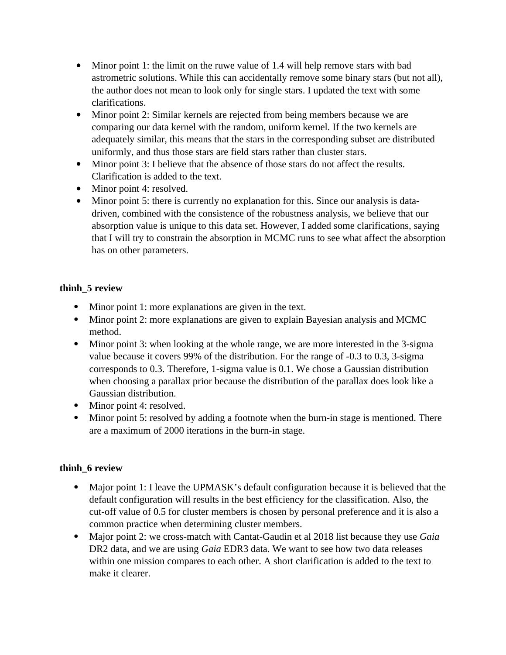- Minor point 1: the limit on the ruwe value of 1.4 will help remove stars with bad astrometric solutions. While this can accidentally remove some binary stars (but not all), as the author does not mean to look only for single stars. I updated the text with some the author does not mean to look only for single stars. I updated the text with some  $\frac{1}{\sqrt{2}}$  the author does not mean to look only for single stars. I updated the text with some  $\frac{1}{\sqrt{2}}$
- $\bullet$  Minor point 2: comparing our data kernel with the random, uniform kernel. If the two kernels are adequately similar, this means that the stars in the corresponding subset are distributed uniformly, and thus those stars are field stars rather than cluster stars.
- Minor point 3: I believe that the absence of those stars do not affect the results.  $\bullet$  . Clarification is added to the text.
- $\bullet$  Minor point 4: resolved.
- $\bullet$  Minor point 5: there is cu driven, combined with the consistence of the robustness analysis, we believe that our absorption value is unique to this data set. However, I added some clarifications, saying that I will try to constrain the absorption in MCMC runs to see what affect the absorption has on other parameters. has on other parameters.

### **thinh\_5 review**

- Minor point 1: more explanations are given in the text.
- $\bullet$  Minor point 2: more explanations are given to explain  $M_{\rm H}$  point 2: more explanations are given to explain Bayesian analysis and MCMCC.
- Minor  $p$ value because it covers 99% of the distribution. For the range of -0.3 to 0.3, 3-sigma corresponds to  $0.3$ . Therefore, 1-sigma value is  $0.1$ . We chose a Gaussian distribution when choosing a parallax prior because the distribution of the parallax does look like a Gaussian distribution.
- $M$ inor point 4: resolve
- Minor point 5: resolved. Minor point 5: resolved by adding a footnote when the burn-in stage is mentioned. There are a maximum of 2000 iterations in the burn-in stage. are a maximum of 2000 iterations in the burn-in stage.

## **thinh\_6 review**

- Major point 1: I leave the UPMASK's default configuration because it is believed that the default configuration will results in the best efficiency for the classification. Also, the cut-off value of 0.5 for cluster members is chosen by personal preference and it is also a common practice when determining cluster members.
- Major point 2: we cross-match with Cantat-Gaudin et DR2 data, and we are using *Gaia* EDR3 data. We want to see how two data releases within one mission compares to each other. A short clarification is added to the text to make it clearer.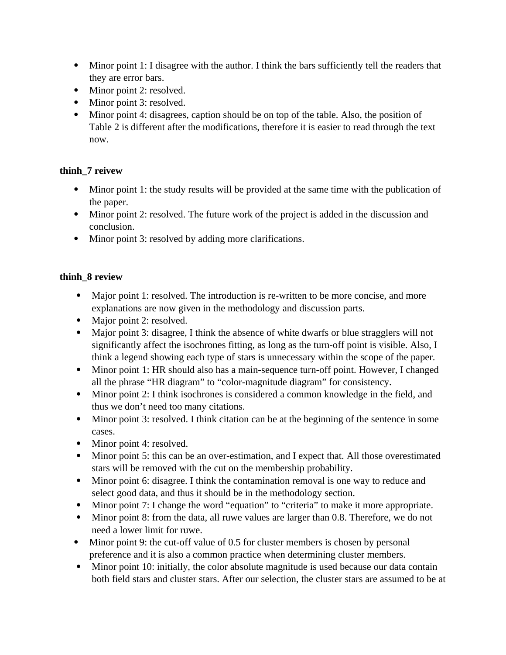- Minor point 1: I disagree with the author. I think the bars sufficiently tell the readers that they are error bars.
- $\bullet$  Minor point 2: reso.
- Minor point 3: resolved.
- $\bullet$  Minor point 4: disagrees Table 2 is different after the modifications, therefore it is easier to read through the text Table 2 is different after the modifications, therefore it is easier to read through the text now.

### **thinh\_7 reivew**

- Minor point 1: the study results will be provided at the same time with the publication of  $\mathbf{R}$  be provided at the study results with the same time time time  $\mathbf{R}$  the same time time  $\mathbf{R}$
- $\bullet$  Minor poi Minor point 2: resolved. The future work of the project is added in the discussion and
- $\bullet$  Minor poin  $\mathbf{r}$  resolved by adding  $\mathbf{r}$  resolved by adding more clarifications.

### **thinh\_8 review**

- Major point 1: resolved. The introduction is re-written to be more concise, and more explanations are now given in the methodology and discussion parts.
- Major point 2: resolved.
- Major point 3: disagree, significantly affect the isochrones fitting, as long as the turn-off point is visible. Also, I think a legend showing each type of stars is unnecessary within the scope of the paper.
- the stars a legend showing stars type of stars is unnecessary within the scope of the paper. all the phrase "HR diagram" to "color-magnitude diagram" for consistency.
- Minor point 2: I think isochrones is considered a common knowledge in the thus we don't need too many citations.
- Minor point 3: resolved. I think citation Minor point 3: resolved. I think citation can be at the beginning of the sentence in some
- $\bullet$  Minor
- $ext{Minor point 5: this can be}$ stars will be removed with the cut on the membership probability.
- Minor point 6: disagree. I think the contamination removal is one select good data, and thus it should be in the methodology section.
- Minor point 7: I change the word "equation" to "criteria" to make
- Minor point 8: from the data, all ruwe values are larger than 0.8. Therefore, we do not need a lower limit for ruwe.
- Minor point 9: the cut-off val preference and it is also a common practice when determining cluster members.
- Minor point 10: initially, the color absolute magnitude is used because our data both field stars and cluster stars. After our selection, the cluster stars are assumed to be at